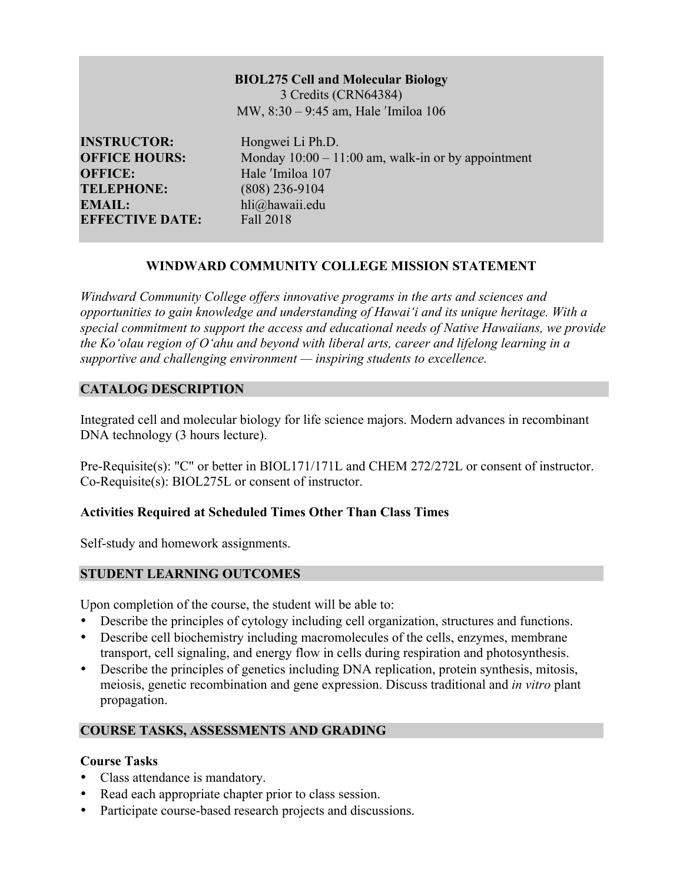## **BIOL275 Cell and Molecular Biology**

3 Credits (CRN64384) MW, 8:30 – 9:45 am, Hale ʹImiloa 106

**INSTRUCTOR:** Hongwei Li Ph.D. **OFFICE:** Hale <sup>'Imiloa</sup> 107 **TELEPHONE:** (808) 236-9104 **EMAIL:** hli@hawaii.edu **EFFECTIVE DATE:** Fall 2018

**OFFICE HOURS:** Monday 10:00 – 11:00 am, walk-in or by appointment

# **WINDWARD COMMUNITY COLLEGE MISSION STATEMENT**

*Windward Community College offers innovative programs in the arts and sciences and opportunities to gain knowledge and understanding of Hawai'i and its unique heritage. With a special commitment to support the access and educational needs of Native Hawaiians, we provide the Ko'olau region of Oʻahu and beyond with liberal arts, career and lifelong learning in a supportive and challenging environment — inspiring students to excellence.*

# **CATALOG DESCRIPTION**

Integrated cell and molecular biology for life science majors. Modern advances in recombinant DNA technology (3 hours lecture).

Pre-Requisite(s): "C" or better in BIOL171/171L and CHEM 272/272L or consent of instructor. Co-Requisite(s): BIOL275L or consent of instructor.

# **Activities Required at Scheduled Times Other Than Class Times**

Self-study and homework assignments.

# **STUDENT LEARNING OUTCOMES**

Upon completion of the course, the student will be able to:

- Describe the principles of cytology including cell organization, structures and functions.
- Describe cell biochemistry including macromolecules of the cells, enzymes, membrane transport, cell signaling, and energy flow in cells during respiration and photosynthesis.
- Describe the principles of genetics including DNA replication, protein synthesis, mitosis, meiosis, genetic recombination and gene expression. Discuss traditional and *in vitro* plant propagation.

# **COURSE TASKS, ASSESSMENTS AND GRADING**

# **Course Tasks**

- Class attendance is mandatory.
- Read each appropriate chapter prior to class session.
- Participate course-based research projects and discussions.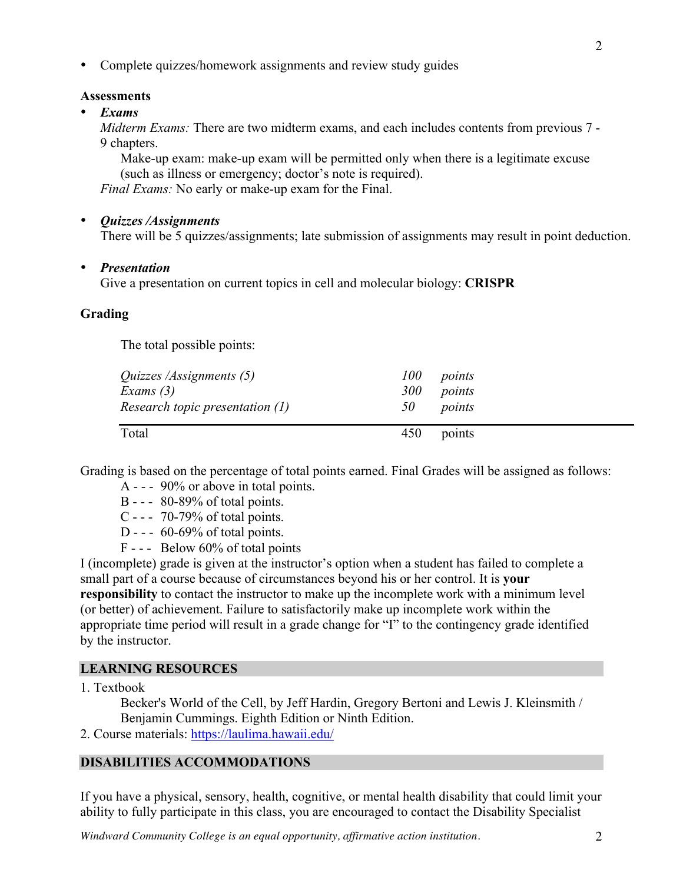• Complete quizzes/homework assignments and review study guides

#### **Assessments**

• *Exams*

*Midterm Exams:* There are two midterm exams, and each includes contents from previous 7 - 9 chapters.

Make-up exam: make-up exam will be permitted only when there is a legitimate excuse (such as illness or emergency; doctor's note is required).

*Final Exams:* No early or make-up exam for the Final.

#### • *Quizzes /Assignments*

There will be 5 quizzes/assignments; late submission of assignments may result in point deduction.

#### • *Presentation*

Give a presentation on current topics in cell and molecular biology: **CRISPR**

### **Grading**

The total possible points:

| <i>Quizzes /Assignments (5)</i> | 100        | points |
|---------------------------------|------------|--------|
| Exams $(3)$                     | <i>300</i> | points |
| Research topic presentation (1) | 50         | points |
| Total                           | 450        | points |

Grading is based on the percentage of total points earned. Final Grades will be assigned as follows:

- A - 90% or above in total points.
- B - 80-89% of total points.
- C -  $70-79\%$  of total points.
- D - 60-69% of total points.
- F - Below 60% of total points

I (incomplete) grade is given at the instructor's option when a student has failed to complete a small part of a course because of circumstances beyond his or her control. It is **your responsibility** to contact the instructor to make up the incomplete work with a minimum level (or better) of achievement. Failure to satisfactorily make up incomplete work within the appropriate time period will result in a grade change for "I" to the contingency grade identified by the instructor.

### **LEARNING RESOURCES**

1. Textbook

Becker's World of the Cell, by Jeff Hardin, Gregory Bertoni and Lewis J. Kleinsmith / Benjamin Cummings. Eighth Edition or Ninth Edition.

2. Course materials: https://laulima.hawaii.edu/

### **DISABILITIES ACCOMMODATIONS**

If you have a physical, sensory, health, cognitive, or mental health disability that could limit your ability to fully participate in this class, you are encouraged to contact the Disability Specialist

*Windward Community College is an equal opportunity, affirmative action institution.* 2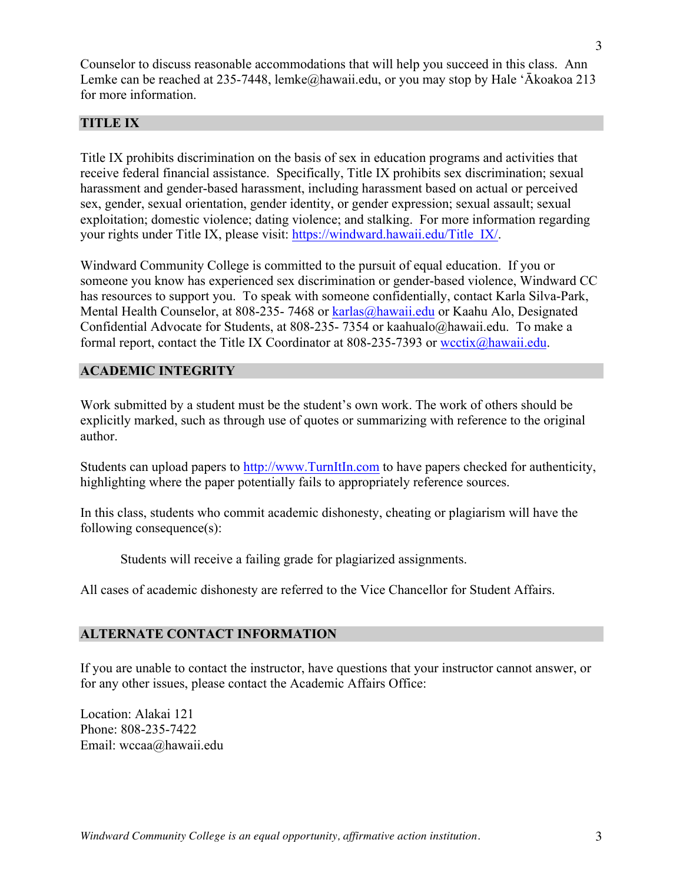Counselor to discuss reasonable accommodations that will help you succeed in this class. Ann Lemke can be reached at 235-7448, lemke@hawaii.edu, or you may stop by Hale 'Ākoakoa 213 for more information.

### **TITLE IX**

Title IX prohibits discrimination on the basis of sex in education programs and activities that receive federal financial assistance. Specifically, Title IX prohibits sex discrimination; sexual harassment and gender-based harassment, including harassment based on actual or perceived sex, gender, sexual orientation, gender identity, or gender expression; sexual assault; sexual exploitation; domestic violence; dating violence; and stalking. For more information regarding your rights under Title IX, please visit: https://windward.hawaii.edu/Title\_IX/.

Windward Community College is committed to the pursuit of equal education. If you or someone you know has experienced sex discrimination or gender-based violence, Windward CC has resources to support you. To speak with someone confidentially, contact Karla Silva-Park, Mental Health Counselor, at 808-235- 7468 or karlas@hawaii.edu or Kaahu Alo, Designated Confidential Advocate for Students, at 808-235- 7354 or kaahualo@hawaii.edu. To make a formal report, contact the Title IX Coordinator at 808-235-7393 or wectix@hawaii.edu.

### **ACADEMIC INTEGRITY**

Work submitted by a student must be the student's own work. The work of others should be explicitly marked, such as through use of quotes or summarizing with reference to the original author.

Students can upload papers to http://www.TurnItIn.com to have papers checked for authenticity, highlighting where the paper potentially fails to appropriately reference sources.

In this class, students who commit academic dishonesty, cheating or plagiarism will have the following consequence(s):

Students will receive a failing grade for plagiarized assignments.

All cases of academic dishonesty are referred to the Vice Chancellor for Student Affairs.

### **ALTERNATE CONTACT INFORMATION**

If you are unable to contact the instructor, have questions that your instructor cannot answer, or for any other issues, please contact the Academic Affairs Office:

Location: Alakai 121 Phone: 808-235-7422 Email: wccaa@hawaii.edu